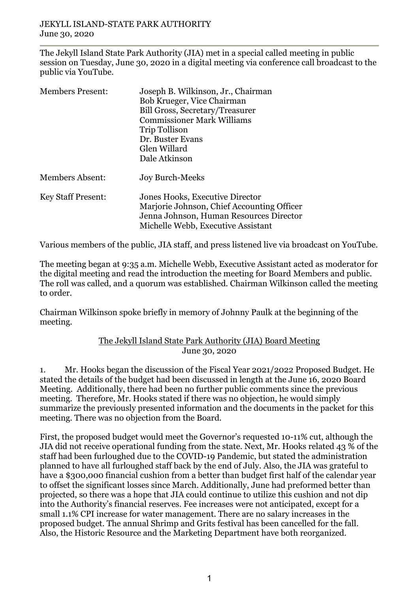The Jekyll Island State Park Authority (JIA) met in a special called meeting in public session on Tuesday, June 30, 2020 in a digital meeting via conference call broadcast to the public via YouTube.

| <b>Members Present:</b>   | Joseph B. Wilkinson, Jr., Chairman<br>Bob Krueger, Vice Chairman<br><b>Bill Gross, Secretary/Treasurer</b><br><b>Commissioner Mark Williams</b><br>Trip Tollison<br>Dr. Buster Evans<br>Glen Willard<br>Dale Atkinson |
|---------------------------|-----------------------------------------------------------------------------------------------------------------------------------------------------------------------------------------------------------------------|
| <b>Members Absent:</b>    | <b>Joy Burch-Meeks</b>                                                                                                                                                                                                |
| <b>Key Staff Present:</b> | Jones Hooks, Executive Director<br>Marjorie Johnson, Chief Accounting Officer<br>Jenna Johnson, Human Resources Director<br>Michelle Webb, Executive Assistant                                                        |

Various members of the public, JIA staff, and press listened live via broadcast on YouTube.

The meeting began at 9:35 a.m. Michelle Webb, Executive Assistant acted as moderator for the digital meeting and read the introduction the meeting for Board Members and public. The roll was called, and a quorum was established. Chairman Wilkinson called the meeting to order.

Chairman Wilkinson spoke briefly in memory of Johnny Paulk at the beginning of the meeting.

## The Jekyll Island State Park Authority (JIA) Board Meeting June 30, 2020

1. Mr. Hooks began the discussion of the Fiscal Year 2021/2022 Proposed Budget. He stated the details of the budget had been discussed in length at the June 16, 2020 Board Meeting. Additionally, there had been no further public comments since the previous meeting. Therefore, Mr. Hooks stated if there was no objection, he would simply summarize the previously presented information and the documents in the packet for this meeting. There was no objection from the Board.

First, the proposed budget would meet the Governor's requested 10-11% cut, although the JIA did not receive operational funding from the state. Next, Mr. Hooks related 43 % of the staff had been furloughed due to the COVID-19 Pandemic, but stated the administration planned to have all furloughed staff back by the end of July. Also, the JIA was grateful to have a \$300,000 financial cushion from a better than budget first half of the calendar year to offset the significant losses since March. Additionally, June had preformed better than projected, so there was a hope that JIA could continue to utilize this cushion and not dip into the Authority's financial reserves. Fee increases were not anticipated, except for a small 1.1% CPI increase for water management. There are no salary increases in the proposed budget. The annual Shrimp and Grits festival has been cancelled for the fall. Also, the Historic Resource and the Marketing Department have both reorganized.